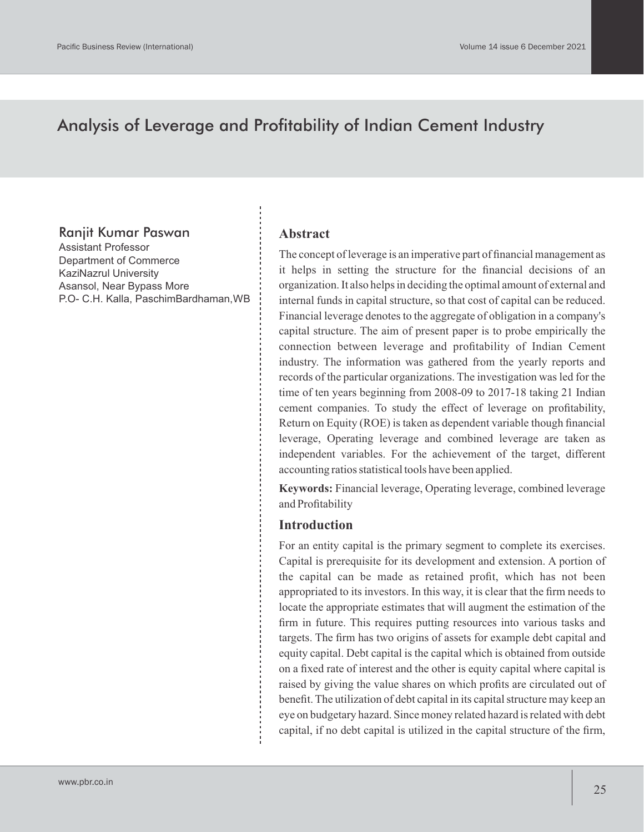# Analysis of Leverage and Profitability of Indian Cement Industry

### Ranjit Kumar Paswan

Assistant Professor Department of Commerce KaziNazrul University Asansol, Near Bypass More P.O- C.H. Kalla, PaschimBardhaman,WB

#### **Abstract**

The concept of leverage is an imperative part of financial management as it helps in setting the structure for the financial decisions of an organization. It also helps in deciding the optimal amount of external and internal funds in capital structure, so that cost of capital can be reduced. Financial leverage denotes to the aggregate of obligation in a company's capital structure. The aim of present paper is to probe empirically the connection between leverage and profitability of Indian Cement industry. The information was gathered from the yearly reports and records of the particular organizations. The investigation was led for the time of ten years beginning from 2008-09 to 2017-18 taking 21 Indian cement companies. To study the effect of leverage on profitability, Return on Equity (ROE) is taken as dependent variable though financial leverage, Operating leverage and combined leverage are taken as independent variables. For the achievement of the target, different accounting ratios statistical tools have been applied.

**Keywords:** Financial leverage, Operating leverage, combined leverage and Profitability

#### **Introduction**

For an entity capital is the primary segment to complete its exercises. Capital is prerequisite for its development and extension. A portion of the capital can be made as retained profit, which has not been appropriated to its investors. In this way, it is clear that the firm needs to locate the appropriate estimates that will augment the estimation of the firm in future. This requires putting resources into various tasks and targets. The firm has two origins of assets for example debt capital and equity capital. Debt capital is the capital which is obtained from outside on a fixed rate of interest and the other is equity capital where capital is raised by giving the value shares on which profits are circulated out of benefit. The utilization of debt capital in its capital structure may keep an eye on budgetary hazard. Since money related hazard is related with debt capital, if no debt capital is utilized in the capital structure of the firm,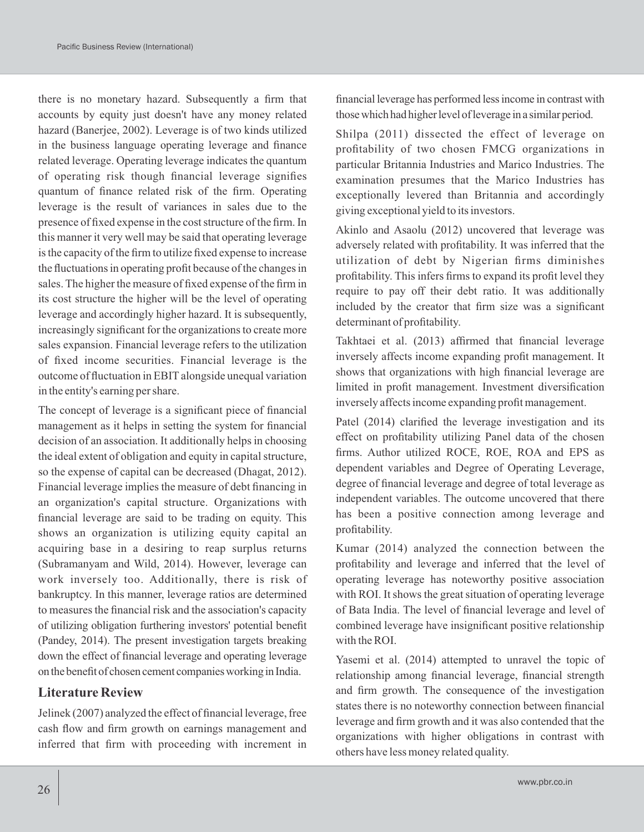there is no monetary hazard. Subsequently a firm that accounts by equity just doesn't have any money related hazard (Banerjee, 2002). Leverage is of two kinds utilized in the business language operating leverage and finance related leverage. Operating leverage indicates the quantum of operating risk though financial leverage signifies quantum of finance related risk of the firm. Operating leverage is the result of variances in sales due to the presence of fixed expense in the cost structure of the firm. In this manner it very well may be said that operating leverage is the capacity of the firm to utilize fixed expense to increase the fluctuations in operating profit because of the changes in sales. The higher the measure of fixed expense of the firm in its cost structure the higher will be the level of operating leverage and accordingly higher hazard. It is subsequently, increasingly significant for the organizations to create more sales expansion. Financial leverage refers to the utilization of fixed income securities. Financial leverage is the outcome of fluctuation in EBITalongside unequal variation in the entity's earning per share.

The concept of leverage is a significant piece of financial management as it helps in setting the system for financial decision of an association. It additionally helps in choosing the ideal extent of obligation and equity in capital structure, so the expense of capital can be decreased (Dhagat, 2012). Financial leverage implies the measure of debt financing in an organization's capital structure. Organizations with financial leverage are said to be trading on equity. This shows an organization is utilizing equity capital an acquiring base in a desiring to reap surplus returns (Subramanyam and Wild, 2014). However, leverage can work inversely too. Additionally, there is risk of bankruptcy. In this manner, leverage ratios are determined to measures the financial risk and the association's capacity of utilizing obligation furthering investors' potential benefit (Pandey, 2014). The present investigation targets breaking down the effect of financial leverage and operating leverage on the benefit of chosen cement companies working in India.

#### **Literature Review**

Jelinek (2007) analyzed the effect of financial leverage, free cash flow and firm growth on earnings management and inferred that firm with proceeding with increment in financial leverage has performed lessincome in contrast with those which had higher level of leverage in a similar period.

Shilpa (2011) dissected the effect of leverage on profitability of two chosen FMCG organizations in particular Britannia Industries and Marico Industries. The examination presumes that the Marico Industries has exceptionally levered than Britannia and accordingly giving exceptional yield to its investors.

Akinlo and Asaolu (2012) uncovered that leverage was adversely related with profitability. It was inferred that the utilization of debt by Nigerian firms diminishes profitability. This infers firms to expand its profit level they require to pay off their debt ratio. It was additionally included by the creator that firm size was a significant determinant of profitability.

Takhtaei et al. (2013) affirmed that financial leverage inversely affects income expanding profit management. It shows that organizations with high financial leverage are limited in profit management. Investment diversification inversely affects income expanding profit management.

Patel (2014) clarified the leverage investigation and its effect on profitability utilizing Panel data of the chosen firms. Author utilized ROCE, ROE, ROA and EPS as dependent variables and Degree of Operating Leverage, degree of financial leverage and degree of total leverage as independent variables. The outcome uncovered that there has been a positive connection among leverage and profitability.

Kumar (2014) analyzed the connection between the profitability and leverage and inferred that the level of operating leverage has noteworthy positive association with ROI. It shows the great situation of operating leverage of Bata India. The level of financial leverage and level of combined leverage have insignificant positive relationship with the ROI.

Yasemi et al. (2014) attempted to unravel the topic of relationship among financial leverage, financial strength and firm growth. The consequence of the investigation states there is no noteworthy connection between financial leverage and firm growth and it was also contended that the organizations with higher obligations in contrast with others have less money related quality.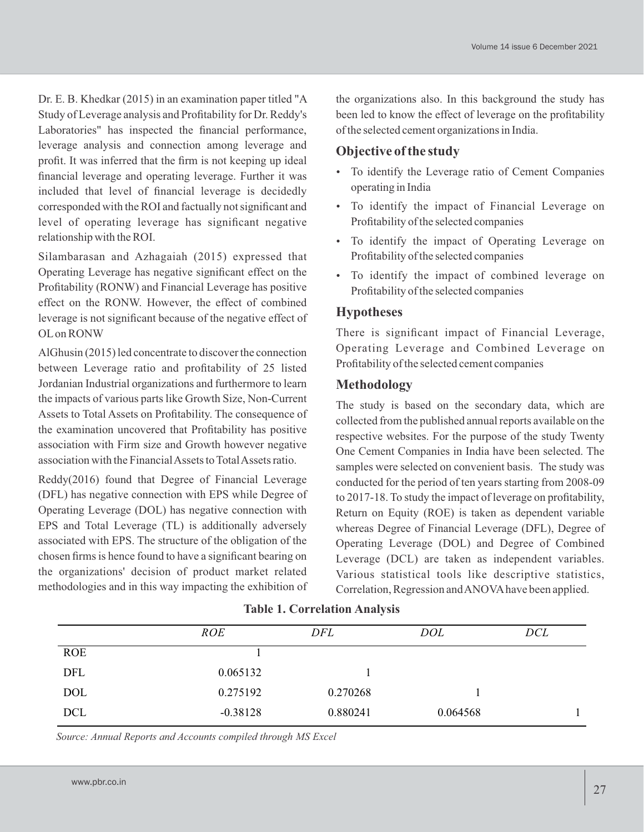Dr. E. B. Khedkar (2015) in an examination paper titled "A Study of Leverage analysis and Profitability for Dr. Reddy's Laboratories" has inspected the financial performance, leverage analysis and connection among leverage and profit. It was inferred that the firm is not keeping up ideal financial leverage and operating leverage. Further it was included that level of financial leverage is decidedly corresponded with the ROI and factually not significant and level of operating leverage has significant negative relationship with the ROI.

Silambarasan and Azhagaiah (2015) expressed that Operating Leverage has negative significant effect on the Profitability (RONW) and Financial Leverage has positive effect on the RONW. However, the effect of combined leverage is not significant because of the negative effect of OLon RONW

AlGhusin (2015) led concentrate to discover the connection between Leverage ratio and profitability of 25 listed Jordanian Industrial organizations and furthermore to learn the impacts of various parts like Growth Size, Non-Current Assets to Total Assets on Profitability. The consequence of the examination uncovered that Profitability has positive association with Firm size and Growth however negative association with the Financial Assets to Total Assets ratio.

Reddy(2016) found that Degree of Financial Leverage (DFL) has negative connection with EPS while Degree of Operating Leverage (DOL) has negative connection with EPS and Total Leverage (TL) is additionally adversely associated with EPS. The structure of the obligation of the chosen firms is hence found to have a significant bearing on the organizations' decision of product market related methodologies and in this way impacting the exhibition of the organizations also. In this background the study has been led to know the effect of leverage on the profitability of the selected cement organizations in India.

# **Objective of the study**

- To identify the Leverage ratio of Cement Companies operating in India
- To identify the impact of Financial Leverage on Profitability of the selected companies
- To identify the impact of Operating Leverage on Profitability of the selected companies
- To identify the impact of combined leverage on Profitability of the selected companies

## **Hypotheses**

There is significant impact of Financial Leverage, Operating Leverage and Combined Leverage on Profitability of the selected cement companies

# **Methodology**

The study is based on the secondary data, which are collected from the published annual reports available on the respective websites. For the purpose of the study Twenty One Cement Companies in India have been selected. The samples were selected on convenient basis. The study was conducted for the period of ten years starting from 2008-09 to 2017-18. To study the impact of leverage on profitability, Return on Equity (ROE) is taken as dependent variable whereas Degree of Financial Leverage (DFL), Degree of Operating Leverage (DOL) and Degree of Combined Leverage (DCL) are taken as independent variables. Various statistical tools like descriptive statistics, Correlation, Regression and ANOVAhave been applied.

|            | <b>ROE</b> | DFL      | DOL      | DCL |  |
|------------|------------|----------|----------|-----|--|
| <b>ROE</b> |            |          |          |     |  |
| DFL        | 0.065132   |          |          |     |  |
| <b>DOL</b> | 0.275192   | 0.270268 |          |     |  |
| <b>DCL</b> | $-0.38128$ | 0.880241 | 0.064568 |     |  |
|            |            |          |          |     |  |

#### **Table 1. Correlation Analysis**

*Source: Annual Reports and Accounts compiled through MS Excel*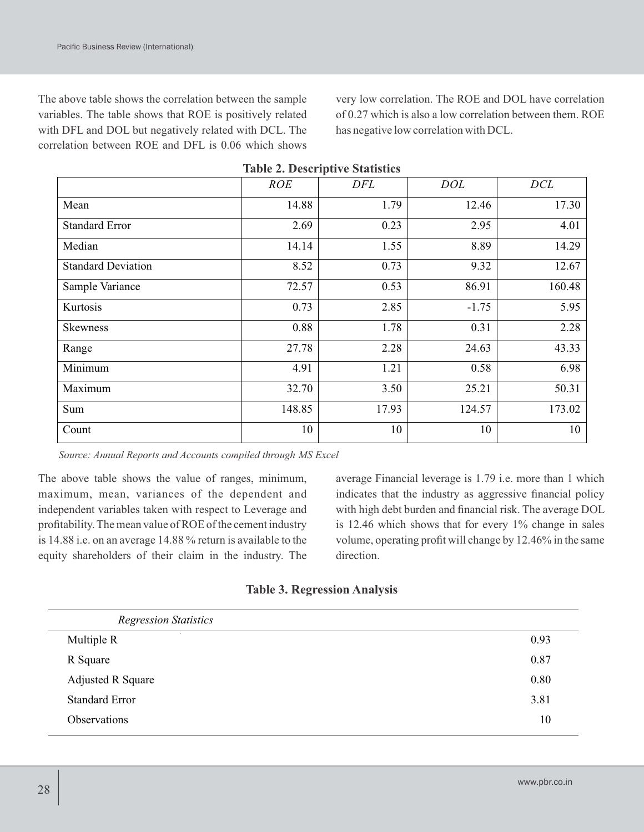The above table shows the correlation between the sample variables. The table shows that ROE is positively related with DFL and DOL but negatively related with DCL. The correlation between ROE and DFL is 0.06 which shows very low correlation. The ROE and DOL have correlation of 0.27 which is also a low correlation between them. ROE has negative low correlation with DCL.

|                           |            | Table 2. Descriptive blatistics |            |        |
|---------------------------|------------|---------------------------------|------------|--------|
|                           | <b>ROE</b> | DFL                             | <b>DOL</b> | DCL    |
| Mean                      | 14.88      | 1.79                            | 12.46      | 17.30  |
| <b>Standard Error</b>     | 2.69       | 0.23                            | 2.95       | 4.01   |
| Median                    | 14.14      | 1.55                            | 8.89       | 14.29  |
| <b>Standard Deviation</b> | 8.52       | 0.73                            | 9.32       | 12.67  |
| Sample Variance           | 72.57      | 0.53                            | 86.91      | 160.48 |
| Kurtosis                  | 0.73       | 2.85                            | $-1.75$    | 5.95   |
| <b>Skewness</b>           | 0.88       | 1.78                            | 0.31       | 2.28   |
| Range                     | 27.78      | 2.28                            | 24.63      | 43.33  |
| Minimum                   | 4.91       | 1.21                            | 0.58       | 6.98   |
| Maximum                   | 32.70      | 3.50                            | 25.21      | 50.31  |
| Sum                       | 148.85     | 17.93                           | 124.57     | 173.02 |
| Count                     | 10         | 10                              | 10         | 10     |

|  |  | <b>Table 2. Descriptive Statistics</b> |  |
|--|--|----------------------------------------|--|
|--|--|----------------------------------------|--|

*Source: Annual Reports and Accounts compiled through MS Excel*

The above table shows the value of ranges, minimum, maximum, mean, variances of the dependent and independent variables taken with respect to Leverage and profitability. The mean value of ROE of the cement industry is 14.88 i.e. on an average 14.88 % return is available to the equity shareholders of their claim in the industry. The

average Financial leverage is 1.79 i.e. more than 1 which indicates that the industry as aggressive financial policy with high debt burden and financial risk. The average DOL is 12.46 which shows that for every 1% change in sales volume, operating profit will change by 12.46% in the same direction.

|  | <b>Table 3. Regression Analysis</b> |  |
|--|-------------------------------------|--|
|--|-------------------------------------|--|

| <b>Regression Statistics</b> |      |
|------------------------------|------|
| $\sim$<br>Multiple R         | 0.93 |
| R Square                     | 0.87 |
| <b>Adjusted R Square</b>     | 0.80 |
| <b>Standard Error</b>        | 3.81 |
| Observations                 | 10   |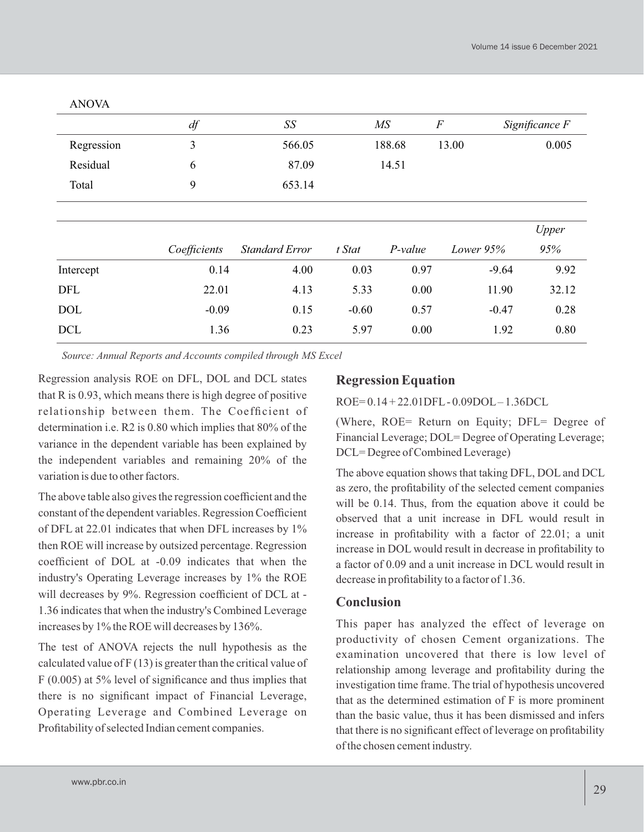|            | df           | SS                    |         | MS        | $\boldsymbol{F}$ | Significance F |
|------------|--------------|-----------------------|---------|-----------|------------------|----------------|
| Regression | 3            | 566.05                |         | 188.68    | 13.00            | 0.005          |
| Residual   | 6            | 87.09                 |         | 14.51     |                  |                |
| Total      | 9            | 653.14                |         |           |                  |                |
|            |              |                       |         |           |                  | Upper          |
|            | Coefficients | <b>Standard Error</b> | t Stat  | $P-value$ | Lower $95%$      | 95%            |
| Intercept  | 0.14         | 4.00                  | 0.03    | 0.97      | $-9.64$          | 9.92           |
| DFL        | 22.01        | 4.13                  | 5.33    | 0.00      | 11.90            | 32.12          |
| <b>DOL</b> | $-0.09$      | 0.15                  | $-0.60$ | 0.57      | $-0.47$          | 0.28           |
| <b>DCL</b> | 1.36         | 0.23                  | 5.97    | 0.00      | 1.92             | 0.80           |

ANOVA

*Source: Annual Reports and Accounts compiled through MS Excel*

Regression analysis ROE on DFL, DOL and DCL states that R is 0.93, which means there is high degree of positive relationship between them. The Coefficient of determination i.e. R2 is 0.80 which implies that 80% of the variance in the dependent variable has been explained by the independent variables and remaining 20% of the variation is due to other factors.

The above table also gives the regression coefficient and the constant of the dependent variables. Regression Coefficient of DFL at 22.01 indicates that when DFL increases by 1% then ROE will increase by outsized percentage. Regression coefficient of DOL at -0.09 indicates that when the industry's Operating Leverage increases by 1% the ROE will decreases by 9%. Regression coefficient of DCL at -1.36 indicates that when the industry's Combined Leverage increases by 1% the ROE will decreases by 136%.

The test of ANOVA rejects the null hypothesis as the calculated value of  $F(13)$  is greater than the critical value of F (0.005) at 5% level of significance and thus implies that there is no significant impact of Financial Leverage, Operating Leverage and Combined Leverage on Profitability of selected Indian cement companies.

# **Regression Equation**

ROE= 0.14 + 22.01DFL- 0.09DOL– 1.36DCL

(Where, ROE= Return on Equity; DFL= Degree of Financial Leverage; DOL= Degree of Operating Leverage; DCL= Degree of Combined Leverage)

The above equation shows that taking DFL, DOL and DCL as zero, the profitability of the selected cement companies will be 0.14. Thus, from the equation above it could be observed that a unit increase in DFL would result in increase in profitability with a factor of 22.01; a unit increase in DOL would result in decrease in profitability to a factor of 0.09 and a unit increase in DCL would result in decrease in profitability to a factor of 1.36.

### **Conclusion**

This paper has analyzed the effect of leverage on productivity of chosen Cement organizations. The examination uncovered that there is low level of relationship among leverage and profitability during the investigation time frame. The trial of hypothesis uncovered that as the determined estimation of F is more prominent than the basic value, thus it has been dismissed and infers that there is no significant effect of leverage on profitability of the chosen cement industry.